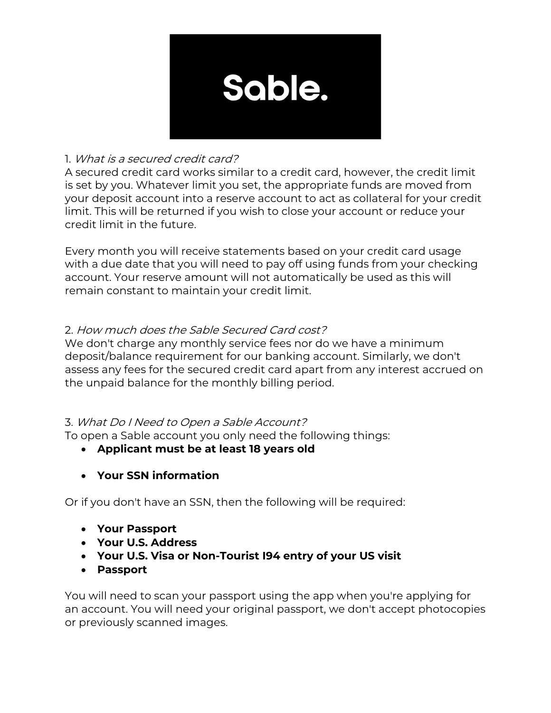

# 1. What is a secured credit card?

A secured credit card works similar to a credit card, however, the credit limit is set by you. Whatever limit you set, the appropriate funds are moved from your deposit account into a reserve account to act as collateral for your credit limit. This will be returned if you wish to close your account or reduce your credit limit in the future.

Every month you will receive statements based on your credit card usage with a due date that you will need to pay off using funds from your checking account. Your reserve amount will not automatically be used as this will remain constant to maintain your credit limit.

# 2. How much does the Sable Secured Card cost?

We don't charge any monthly service fees nor do we have a minimum deposit/balance requirement for our banking account. Similarly, we don't assess any fees for the secured credit card apart from any interest accrued on the unpaid balance for the monthly billing period.

# 3. What Do I Need to Open a Sable Account?

To open a Sable account you only need the following things:

- **Applicant must be at least 18 years old**
- **Your SSN information**

Or if you don't have an SSN, then the following will be required:

- **Your Passport**
- **Your U.S. Address**
- **Your U.S. Visa or Non-Tourist I94 entry of your US visit**
- **Passport**

You will need to scan your passport using the app when you're applying for an account. You will need your original passport, we don't accept photocopies or previously scanned images.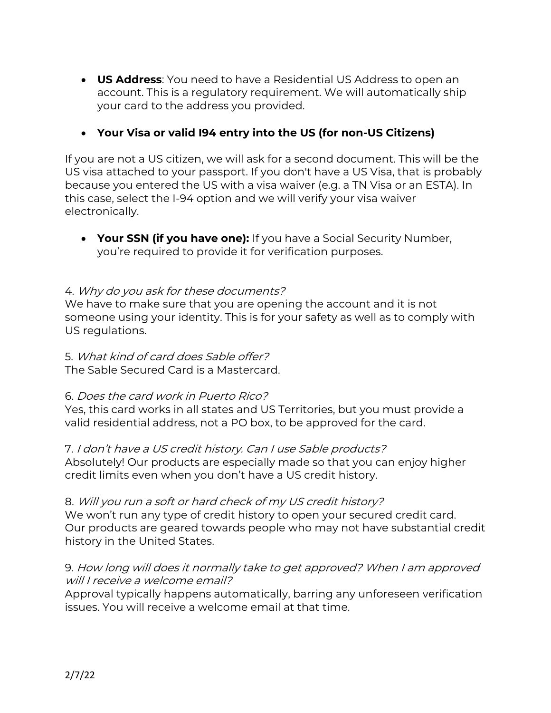• **US Address**: You need to have a Residential US Address to open an account. This is a regulatory requirement. We will automatically ship your card to the address you provided.

## • **Your Visa or valid I94 entry into the US (for non-US Citizens)**

If you are not a US citizen, we will ask for a second document. This will be the US visa attached to your passport. If you don't have a US Visa, that is probably because you entered the US with a visa waiver (e.g. a TN Visa or an ESTA). In this case, select the I-94 option and we will verify your visa waiver electronically.

• **Your SSN (if you have one):** If you have a Social Security Number, you're required to provide it for verification purposes.

#### 4. Why do you ask for these documents?

We have to make sure that you are opening the account and it is not someone using your identity. This is for your safety as well as to comply with US regulations.

### 5. What kind of card does Sable offer?

The Sable Secured Card is a Mastercard.

#### 6. Does the card work in Puerto Rico?

Yes, this card works in all states and US Territories, but you must provide a valid residential address, not a PO box, to be approved for the card.

#### 7. I don't have a US credit history. Can I use Sable products?

Absolutely! Our products are especially made so that you can enjoy higher credit limits even when you don't have a US credit history.

#### 8. Will you run a soft or hard check of my US credit history?

We won't run any type of credit history to open your secured credit card. Our products are geared towards people who may not have substantial credit history in the United States.

## 9. How long will does it normally take to get approved? When I am approved will I receive a welcome email?

Approval typically happens automatically, barring any unforeseen verification issues. You will receive a welcome email at that time.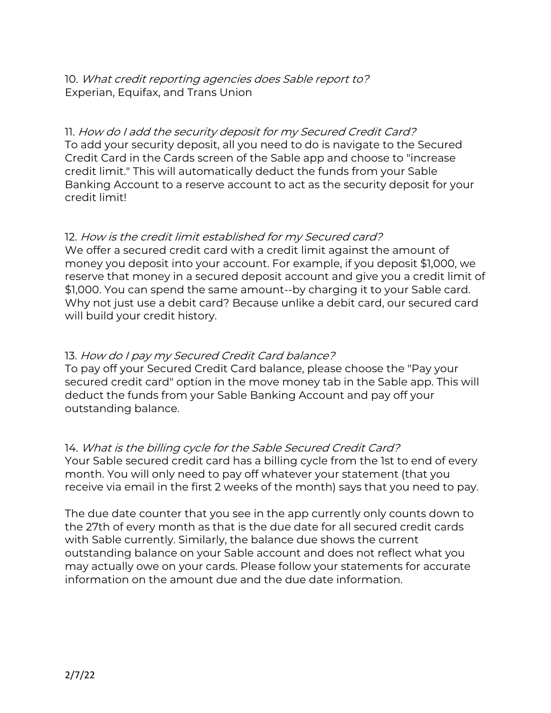10. What credit reporting agencies does Sable report to? Experian, Equifax, and Trans Union

11. How do I add the security deposit for my Secured Credit Card? To add your security deposit, all you need to do is navigate to the Secured Credit Card in the Cards screen of the Sable app and choose to "increase credit limit." This will automatically deduct the funds from your Sable Banking Account to a reserve account to act as the security deposit for your credit limit!

## 12. How is the credit limit established for my Secured card?

We offer a secured credit card with a credit limit against the amount of money you deposit into your account. For example, if you deposit \$1,000, we reserve that money in a secured deposit account and give you a credit limit of \$1,000. You can spend the same amount--by charging it to your Sable card. Why not just use a debit card? Because unlike a debit card, our secured card will build your credit history.

## 13. How do I pay my Secured Credit Card balance?

To pay off your Secured Credit Card balance, please choose the "Pay your secured credit card" option in the move money tab in the Sable app. This will deduct the funds from your Sable Banking Account and pay off your outstanding balance.

14. What is the billing cycle for the Sable Secured Credit Card? Your Sable secured credit card has a billing cycle from the 1st to end of every month. You will only need to pay off whatever your statement (that you receive via email in the first 2 weeks of the month) says that you need to pay.

The due date counter that you see in the app currently only counts down to the 27th of every month as that is the due date for all secured credit cards with Sable currently. Similarly, the balance due shows the current outstanding balance on your Sable account and does not reflect what you may actually owe on your cards. Please follow your statements for accurate information on the amount due and the due date information.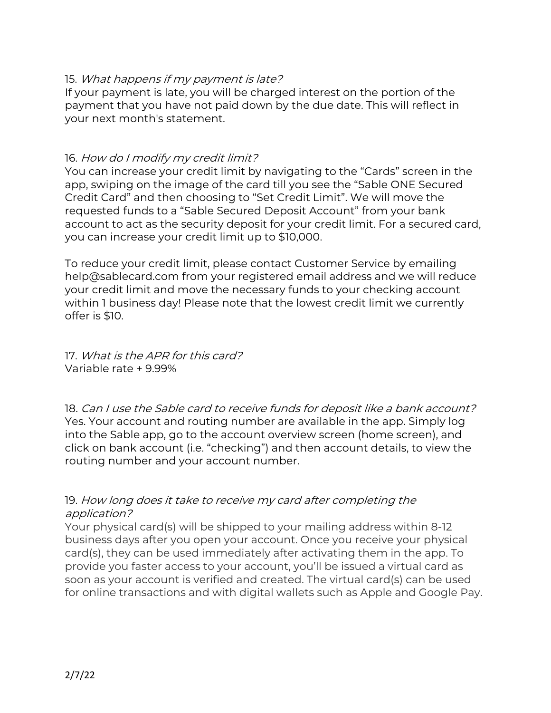#### 15. What happens if my payment is late?

If your payment is late, you will be charged interest on the portion of the payment that you have not paid down by the due date. This will reflect in your next month's statement.

### 16. How do I modify my credit limit?

You can increase your credit limit by navigating to the "Cards" screen in the app, swiping on the image of the card till you see the "Sable ONE Secured Credit Card" and then choosing to "Set Credit Limit". We will move the requested funds to a "Sable Secured Deposit Account" from your bank account to act as the security deposit for your credit limit. For a secured card, you can increase your credit limit up to \$10,000.

To reduce your credit limit, please contact Customer Service by emailing help@sablecard.com from your registered email address and we will reduce your credit limit and move the necessary funds to your checking account within 1 business day! Please note that the lowest credit limit we currently offer is \$10.

17. What is the APR for this card? Variable rate + 9.99%

18. Can I use the Sable card to receive funds for deposit like a bank account? Yes. Your account and routing number are available in the app. Simply log into the Sable app, go to the account overview screen (home screen), and click on bank account (i.e. "checking") and then account details, to view the routing number and your account number.

## 19. How long does it take to receive my card after completing the application?

Your physical card(s) will be shipped to your mailing address within 8-12 business days after you open your account. Once you receive your physical card(s), they can be used immediately after activating them in the app. To provide you faster access to your account, you'll be issued a virtual card as soon as your account is verified and created. The virtual card(s) can be used for online transactions and with digital wallets such as Apple and Google Pay.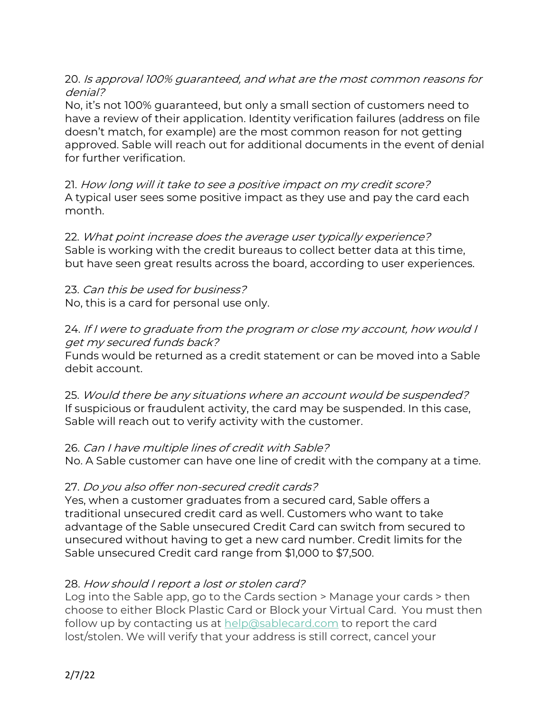## 20. Is approval 100% guaranteed, and what are the most common reasons for denial?

No, it's not 100% guaranteed, but only a small section of customers need to have a review of their application. Identity verification failures (address on file doesn't match, for example) are the most common reason for not getting approved. Sable will reach out for additional documents in the event of denial for further verification.

21. How long will it take to see a positive impact on my credit score? A typical user sees some positive impact as they use and pay the card each month.

22. What point increase does the average user typically experience? Sable is working with the credit bureaus to collect better data at this time, but have seen great results across the board, according to user experiences.

23. Can this be used for business? No, this is a card for personal use only.

### 24. If I were to graduate from the program or close my account, how would I get my secured funds back?

Funds would be returned as a credit statement or can be moved into a Sable debit account.

25. Would there be any situations where an account would be suspended? If suspicious or fraudulent activity, the card may be suspended. In this case, Sable will reach out to verify activity with the customer.

## 26. Can I have multiple lines of credit with Sable?

No. A Sable customer can have one line of credit with the company at a time.

# 27. Do you also offer non-secured credit cards?

Yes, when a customer graduates from a secured card, Sable offers a traditional unsecured credit card as well. Customers who want to take advantage of the Sable unsecured Credit Card can switch from secured to unsecured without having to get a new card number. Credit limits for the Sable unsecured Credit card range from \$1,000 to \$7,500.

# 28. How should I report a lost or stolen card?

Log into the Sable app, go to the Cards section > Manage your cards > then choose to either Block Plastic Card or Block your Virtual Card. You must then follow up by contacting us at help@sablecard.com to report the card lost/stolen. We will verify that your address is still correct, cancel your